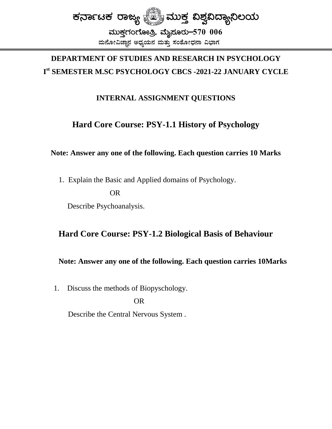

## DEPARTMENT OF STUDIES AND RESEARCH IN PSYCHOLOGY Ist SEMESTER M.SC PSYCHOLOGY CBCS -2021-22 JANUARY CYCLE

### **INTERNAL ASSIGNMENT QUESTIONS**

### **Hard Core Course: PSY-1.1 History of Psychology**

#### Note: Answer any one of the following. Each question carries 10 Marks

1. Explain the Basic and Applied domains of Psychology. **OR** 

Describe Psychoanalysis.

### Hard Core Course: PSY-1.2 Biological Basis of Behaviour

#### Note: Answer any one of the following. Each question carries 10Marks

Discuss the methods of Biopyschology. 1.

**OR** 

Describe the Central Nervous System.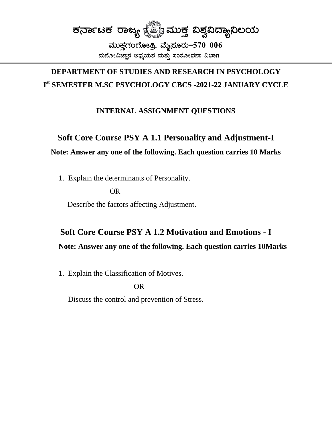

## **DEPARTMENT OF STUDIES AND RESEARCH IN PSYCHOLOGY** I<sup>st</sup> SEMESTER M.SC PSYCHOLOGY CBCS -2021-22 JANUARY CYCLE

### **INTERNAL ASSIGNMENT QUESTIONS**

### Soft Core Course PSY A 1.1 Personality and Adjustment-I

#### Note: Answer any one of the following. Each question carries 10 Marks

1. Explain the determinants of Personality.

 $OR$ 

Describe the factors affecting Adjustment.

# **Soft Core Course PSY A 1.2 Motivation and Emotions - I** Note: Answer any one of the following. Each question carries 10Marks

1. Explain the Classification of Motives.

**OR** 

Discuss the control and prevention of Stress.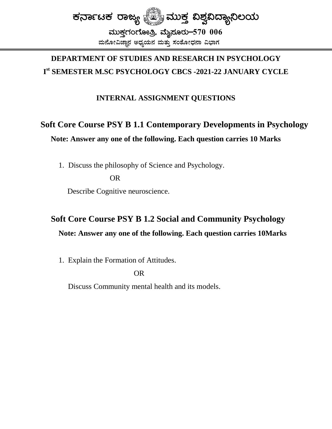

# DEPARTMENT OF STUDIES AND RESEARCH IN PSYCHOLOGY  $\mathbf{I}^{\text{st}}$  SEMESTER M.SC PSYCHOLOGY CBCS -2021-22 JANUARY CYCLE

#### **INTERNAL ASSIGNMENT QUESTIONS**

# **Soft Core Course PSY B 1.1 Contemporary Developments in Psychology** Note: Answer any one of the following. Each question carries 10 Marks

1. Discuss the philosophy of Science and Psychology.

OR.

Describe Cognitive neuroscience.

# **Soft Core Course PSY B 1.2 Social and Community Psychology** Note: Answer any one of the following. Each question carries 10Marks

1. Explain the Formation of Attitudes.

**OR** 

Discuss Community mental health and its models.